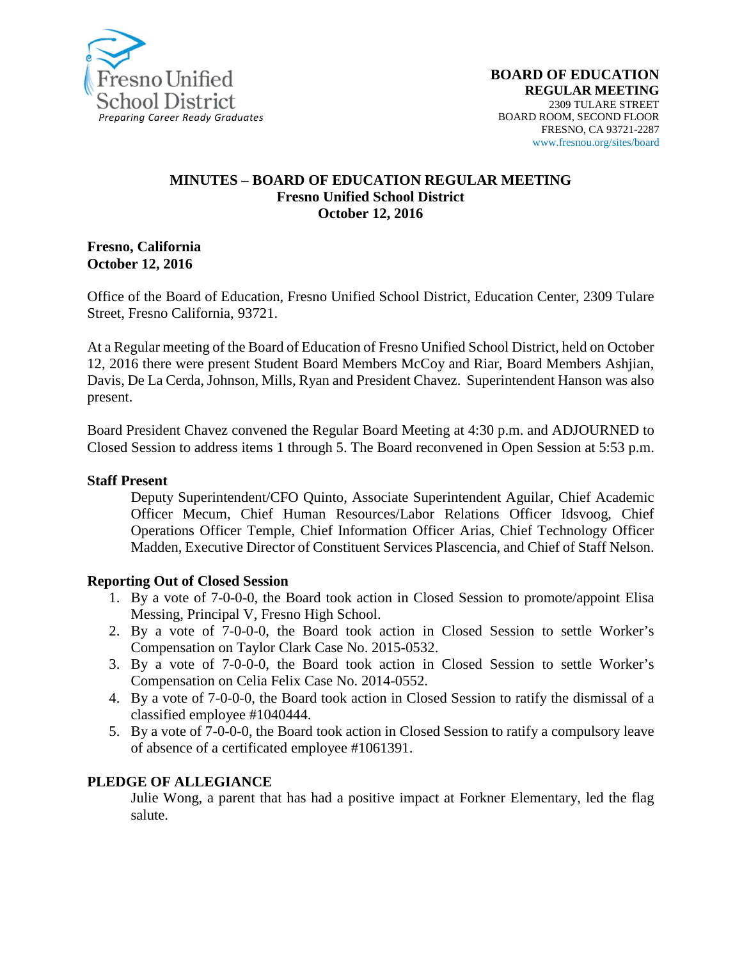

#### **MINUTES – BOARD OF EDUCATION REGULAR MEETING Fresno Unified School District October 12, 2016**

**Fresno, California October 12, 2016**

Office of the Board of Education, Fresno Unified School District, Education Center, 2309 Tulare Street, Fresno California, 93721.

At a Regular meeting of the Board of Education of Fresno Unified School District, held on October 12, 2016 there were present Student Board Members McCoy and Riar, Board Members Ashjian, Davis, De La Cerda, Johnson, Mills, Ryan and President Chavez. Superintendent Hanson was also present.

Board President Chavez convened the Regular Board Meeting at 4:30 p.m. and ADJOURNED to Closed Session to address items 1 through 5. The Board reconvened in Open Session at 5:53 p.m.

#### **Staff Present**

Deputy Superintendent/CFO Quinto, Associate Superintendent Aguilar, Chief Academic Officer Mecum, Chief Human Resources/Labor Relations Officer Idsvoog, Chief Operations Officer Temple, Chief Information Officer Arias, Chief Technology Officer Madden, Executive Director of Constituent Services Plascencia, and Chief of Staff Nelson.

#### **Reporting Out of Closed Session**

- 1. By a vote of 7-0-0-0, the Board took action in Closed Session to promote/appoint Elisa Messing, Principal V, Fresno High School.
- 2. By a vote of 7-0-0-0, the Board took action in Closed Session to settle Worker's Compensation on Taylor Clark Case No. 2015-0532.
- 3. By a vote of 7-0-0-0, the Board took action in Closed Session to settle Worker's Compensation on Celia Felix Case No. 2014-0552.
- 4. By a vote of 7-0-0-0, the Board took action in Closed Session to ratify the dismissal of a classified employee #1040444.
- 5. By a vote of 7-0-0-0, the Board took action in Closed Session to ratify a compulsory leave of absence of a certificated employee #1061391.

#### **PLEDGE OF ALLEGIANCE**

Julie Wong, a parent that has had a positive impact at Forkner Elementary, led the flag salute.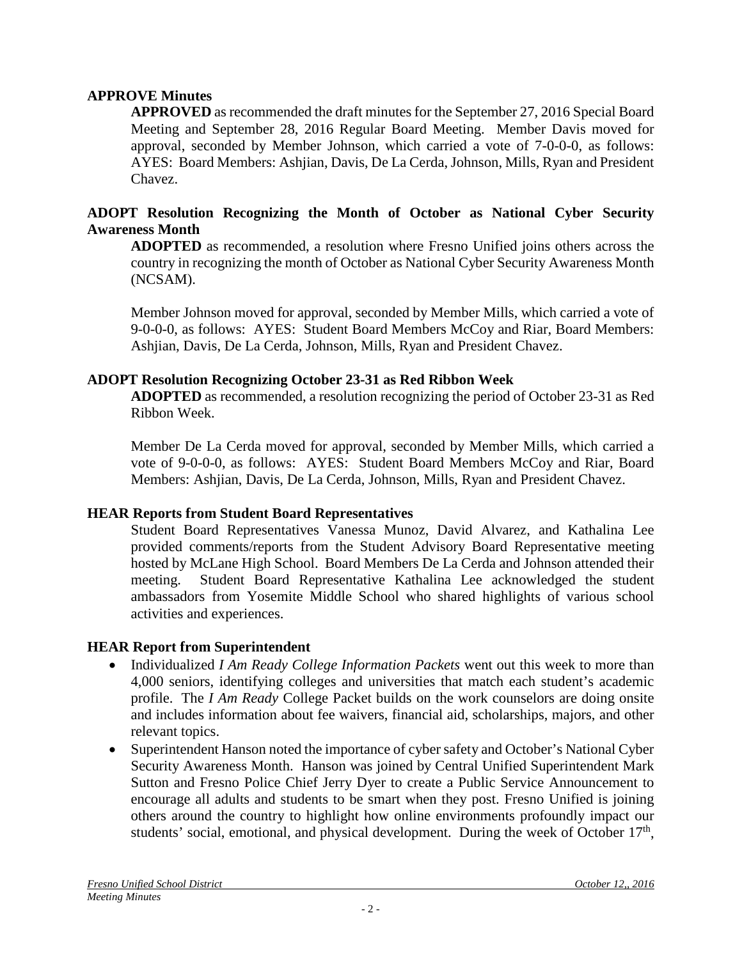#### **APPROVE Minutes**

**APPROVED** as recommended the draft minutes for the September 27, 2016 Special Board Meeting and September 28, 2016 Regular Board Meeting. Member Davis moved for approval, seconded by Member Johnson, which carried a vote of 7-0-0-0, as follows: AYES: Board Members: Ashjian, Davis, De La Cerda, Johnson, Mills, Ryan and President Chavez.

#### **ADOPT Resolution Recognizing the Month of October as National Cyber Security Awareness Month**

**ADOPTED** as recommended, a resolution where Fresno Unified joins others across the country in recognizing the month of October as National Cyber Security Awareness Month (NCSAM).

Member Johnson moved for approval, seconded by Member Mills, which carried a vote of 9-0-0-0, as follows: AYES: Student Board Members McCoy and Riar, Board Members: Ashjian, Davis, De La Cerda, Johnson, Mills, Ryan and President Chavez.

#### **ADOPT Resolution Recognizing October 23-31 as Red Ribbon Week**

**ADOPTED** as recommended, a resolution recognizing the period of October 23-31 as Red Ribbon Week.

Member De La Cerda moved for approval, seconded by Member Mills, which carried a vote of 9-0-0-0, as follows: AYES: Student Board Members McCoy and Riar, Board Members: Ashjian, Davis, De La Cerda, Johnson, Mills, Ryan and President Chavez.

#### **HEAR Reports from Student Board Representatives**

Student Board Representatives Vanessa Munoz, David Alvarez, and Kathalina Lee provided comments/reports from the Student Advisory Board Representative meeting hosted by McLane High School. Board Members De La Cerda and Johnson attended their meeting. Student Board Representative Kathalina Lee acknowledged the student ambassadors from Yosemite Middle School who shared highlights of various school activities and experiences.

## **HEAR Report from Superintendent**

- Individualized *I Am Ready College Information Packets* went out this week to more than 4,000 seniors, identifying colleges and universities that match each student's academic profile. The *I Am Ready* College Packet builds on the work counselors are doing onsite and includes information about fee waivers, financial aid, scholarships, majors, and other relevant topics.
- Superintendent Hanson noted the importance of cyber safety and October's National Cyber Security Awareness Month. Hanson was joined by Central Unified Superintendent Mark Sutton and Fresno Police Chief Jerry Dyer to create a Public Service Announcement to encourage all adults and students to be smart when they post. Fresno Unified is joining others around the country to highlight how online environments profoundly impact our students' social, emotional, and physical development. During the week of October  $17<sup>th</sup>$ ,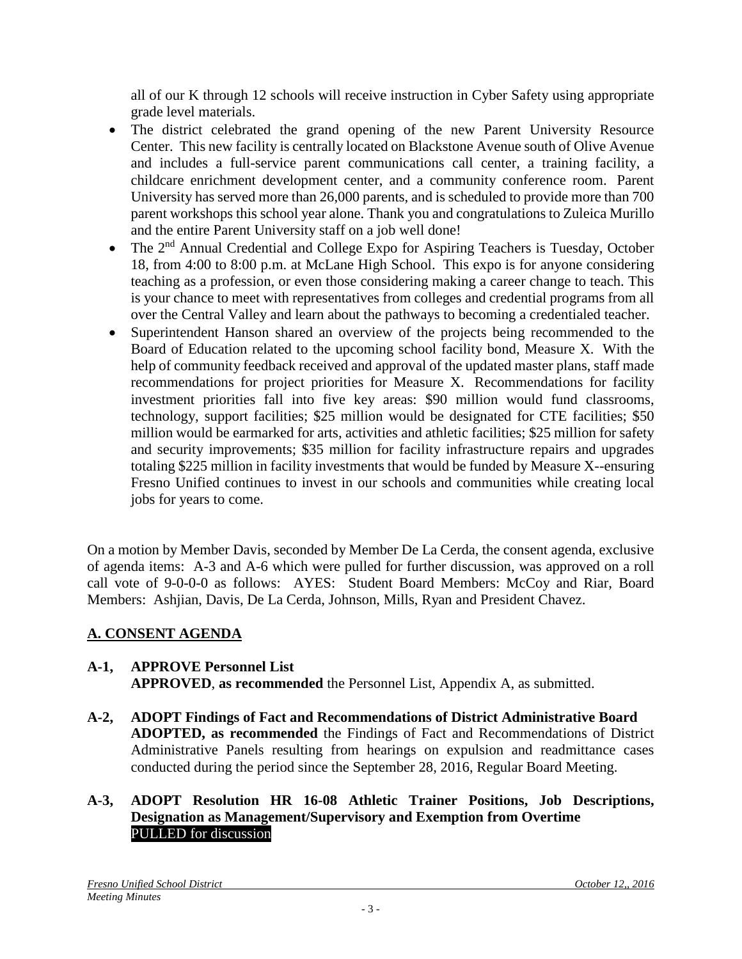all of our K through 12 schools will receive instruction in Cyber Safety using appropriate grade level materials.

- The district celebrated the grand opening of the new Parent University Resource Center. This new facility is centrally located on Blackstone Avenue south of Olive Avenue and includes a full-service parent communications call center, a training facility, a childcare enrichment development center, and a community conference room. Parent University has served more than 26,000 parents, and is scheduled to provide more than 700 parent workshops this school year alone. Thank you and congratulations to Zuleica Murillo and the entire Parent University staff on a job well done!
- The  $2<sup>nd</sup>$  Annual Credential and College Expo for Aspiring Teachers is Tuesday, October 18, from 4:00 to 8:00 p.m. at McLane High School. This expo is for anyone considering teaching as a profession, or even those considering making a career change to teach. This is your chance to meet with representatives from colleges and credential programs from all over the Central Valley and learn about the pathways to becoming a credentialed teacher.
- Superintendent Hanson shared an overview of the projects being recommended to the Board of Education related to the upcoming school facility bond, Measure X. With the help of community feedback received and approval of the updated master plans, staff made recommendations for project priorities for Measure X. Recommendations for facility investment priorities fall into five key areas: \$90 million would fund classrooms, technology, support facilities; \$25 million would be designated for CTE facilities; \$50 million would be earmarked for arts, activities and athletic facilities; \$25 million for safety and security improvements; \$35 million for facility infrastructure repairs and upgrades totaling \$225 million in facility investments that would be funded by Measure X--ensuring Fresno Unified continues to invest in our schools and communities while creating local jobs for years to come.

On a motion by Member Davis, seconded by Member De La Cerda, the consent agenda, exclusive of agenda items: A-3 and A-6 which were pulled for further discussion, was approved on a roll call vote of 9-0-0-0 as follows: AYES: Student Board Members: McCoy and Riar, Board Members: Ashjian, Davis, De La Cerda, Johnson, Mills, Ryan and President Chavez.

# **A. CONSENT AGENDA**

#### **A-1, APPROVE Personnel List APPROVED**, **as recommended** the Personnel List, Appendix A, as submitted.

**A-2, ADOPT Findings of Fact and Recommendations of District Administrative Board ADOPTED, as recommended** the Findings of Fact and Recommendations of District Administrative Panels resulting from hearings on expulsion and readmittance cases conducted during the period since the September 28, 2016, Regular Board Meeting.

### **A-3, ADOPT Resolution HR 16-08 Athletic Trainer Positions, Job Descriptions, Designation as Management/Supervisory and Exemption from Overtime** PULLED for discussion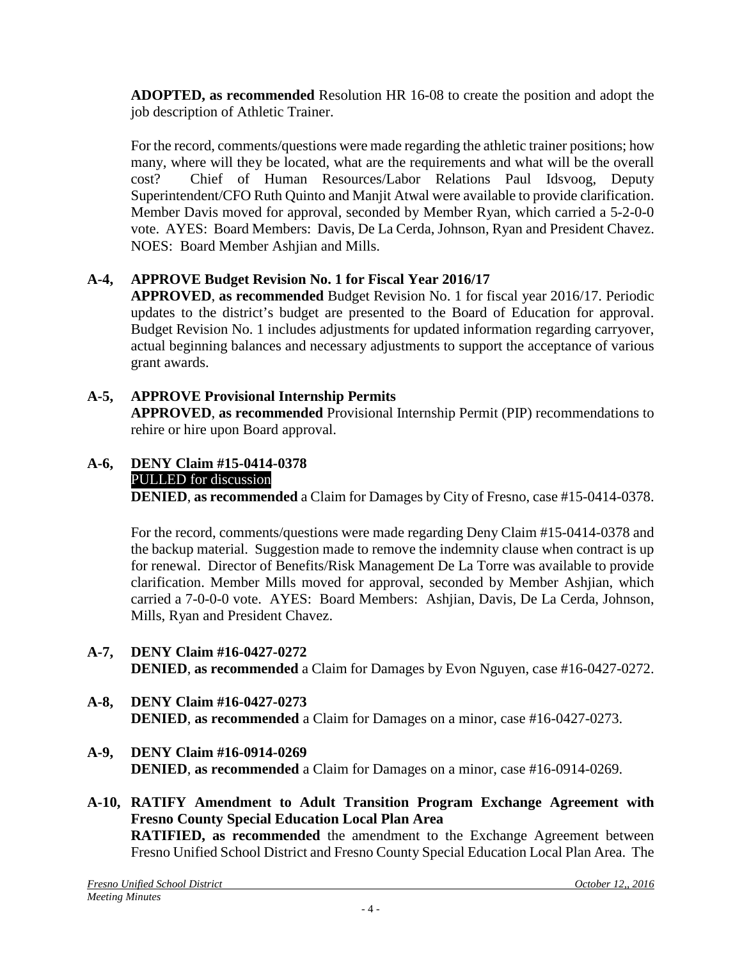**ADOPTED, as recommended** Resolution HR 16-08 to create the position and adopt the job description of Athletic Trainer.

For the record, comments/questions were made regarding the athletic trainer positions; how many, where will they be located, what are the requirements and what will be the overall cost? Chief of Human Resources/Labor Relations Paul Idsvoog, Deputy Superintendent/CFO Ruth Quinto and Manjit Atwal were available to provide clarification. Member Davis moved for approval, seconded by Member Ryan, which carried a 5-2-0-0 vote. AYES: Board Members: Davis, De La Cerda, Johnson, Ryan and President Chavez. NOES: Board Member Ashjian and Mills.

# **A-4, APPROVE Budget Revision No. 1 for Fiscal Year 2016/17**

**APPROVED**, **as recommended** Budget Revision No. 1 for fiscal year 2016/17. Periodic updates to the district's budget are presented to the Board of Education for approval. Budget Revision No. 1 includes adjustments for updated information regarding carryover, actual beginning balances and necessary adjustments to support the acceptance of various grant awards.

# **A-5, APPROVE Provisional Internship Permits APPROVED**, **as recommended** Provisional Internship Permit (PIP) recommendations to rehire or hire upon Board approval.

### **A-6, DENY Claim #15-0414-0378** PULLED for discussion **DENIED**, **as recommended** a Claim for Damages by City of Fresno, case #15-0414-0378.

For the record, comments/questions were made regarding Deny Claim #15-0414-0378 and the backup material. Suggestion made to remove the indemnity clause when contract is up for renewal. Director of Benefits/Risk Management De La Torre was available to provide clarification. Member Mills moved for approval, seconded by Member Ashjian, which carried a 7-0-0-0 vote. AYES: Board Members: Ashjian, Davis, De La Cerda, Johnson, Mills, Ryan and President Chavez.

- **A-7, DENY Claim #16-0427-0272 DENIED**, **as recommended** a Claim for Damages by Evon Nguyen, case #16-0427-0272.
- **A-8, DENY Claim #16-0427-0273 DENIED**, **as recommended** a Claim for Damages on a minor, case #16-0427-0273.
- **A-9, DENY Claim #16-0914-0269 DENIED**, **as recommended** a Claim for Damages on a minor, case #16-0914-0269.
- **A-10, RATIFY Amendment to Adult Transition Program Exchange Agreement with Fresno County Special Education Local Plan Area RATIFIED, as recommended** the amendment to the Exchange Agreement between Fresno Unified School District and Fresno County Special Education Local Plan Area. The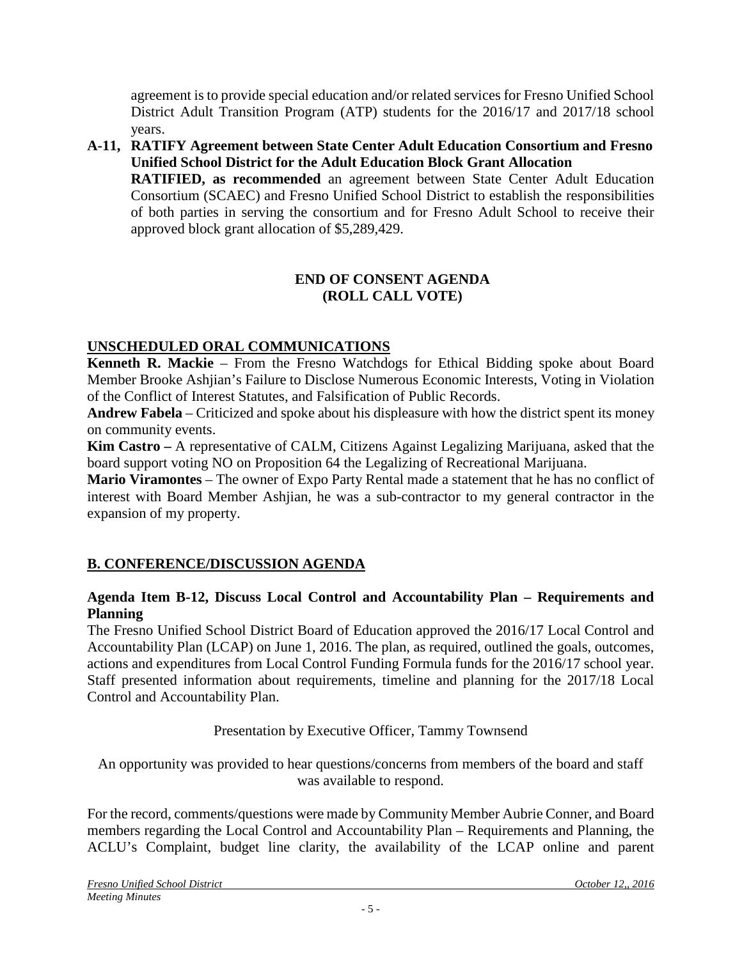agreement is to provide special education and/or related services for Fresno Unified School District Adult Transition Program (ATP) students for the 2016/17 and 2017/18 school years.

**A-11, RATIFY Agreement between State Center Adult Education Consortium and Fresno Unified School District for the Adult Education Block Grant Allocation RATIFIED, as recommended** an agreement between State Center Adult Education Consortium (SCAEC) and Fresno Unified School District to establish the responsibilities of both parties in serving the consortium and for Fresno Adult School to receive their approved block grant allocation of \$5,289,429.

## **END OF CONSENT AGENDA (ROLL CALL VOTE)**

# **UNSCHEDULED ORAL COMMUNICATIONS**

**Kenneth R. Mackie** – From the Fresno Watchdogs for Ethical Bidding spoke about Board Member Brooke Ashjian's Failure to Disclose Numerous Economic Interests, Voting in Violation of the Conflict of Interest Statutes, and Falsification of Public Records.

**Andrew Fabela** – Criticized and spoke about his displeasure with how the district spent its money on community events.

**Kim Castro –** A representative of CALM, Citizens Against Legalizing Marijuana, asked that the board support voting NO on Proposition 64 the Legalizing of Recreational Marijuana.

**Mario Viramontes** – The owner of Expo Party Rental made a statement that he has no conflict of interest with Board Member Ashjian, he was a sub-contractor to my general contractor in the expansion of my property.

# **B. CONFERENCE/DISCUSSION AGENDA**

#### **Agenda Item B-12, Discuss Local Control and Accountability Plan – Requirements and Planning**

The Fresno Unified School District Board of Education approved the 2016/17 Local Control and Accountability Plan (LCAP) on June 1, 2016. The plan, as required, outlined the goals, outcomes, actions and expenditures from Local Control Funding Formula funds for the 2016/17 school year. Staff presented information about requirements, timeline and planning for the 2017/18 Local Control and Accountability Plan.

## Presentation by Executive Officer, Tammy Townsend

An opportunity was provided to hear questions/concerns from members of the board and staff was available to respond.

For the record, comments/questions were made by Community Member Aubrie Conner, and Board members regarding the Local Control and Accountability Plan – Requirements and Planning, the ACLU's Complaint, budget line clarity, the availability of the LCAP online and parent